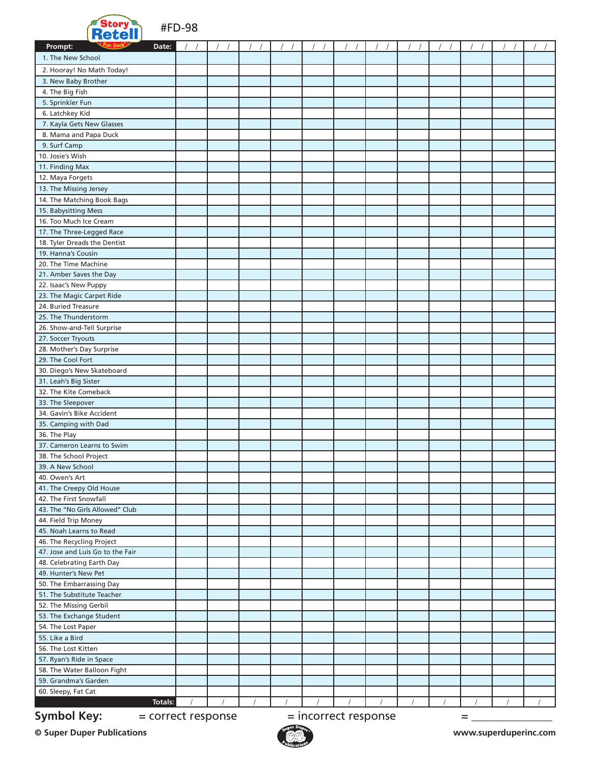

#FD-98

| <b>Retell</b>                                                         |  |  |            |  |  |  |  |  |  |  |
|-----------------------------------------------------------------------|--|--|------------|--|--|--|--|--|--|--|
| Prompt:<br>Date:                                                      |  |  |            |  |  |  |  |  |  |  |
| 1. The New School                                                     |  |  |            |  |  |  |  |  |  |  |
| 2. Hooray! No Math Today!                                             |  |  |            |  |  |  |  |  |  |  |
| 3. New Baby Brother                                                   |  |  |            |  |  |  |  |  |  |  |
| 4. The Big Fish                                                       |  |  |            |  |  |  |  |  |  |  |
| 5. Sprinkler Fun                                                      |  |  |            |  |  |  |  |  |  |  |
| 6. Latchkey Kid                                                       |  |  |            |  |  |  |  |  |  |  |
| 7. Kayla Gets New Glasses                                             |  |  |            |  |  |  |  |  |  |  |
| 8. Mama and Papa Duck                                                 |  |  |            |  |  |  |  |  |  |  |
| 9. Surf Camp<br>10. Josie's Wish                                      |  |  |            |  |  |  |  |  |  |  |
|                                                                       |  |  |            |  |  |  |  |  |  |  |
| 11. Finding Max<br>12. Maya Forgets                                   |  |  |            |  |  |  |  |  |  |  |
|                                                                       |  |  |            |  |  |  |  |  |  |  |
| 13. The Missing Jersey                                                |  |  |            |  |  |  |  |  |  |  |
| 14. The Matching Book Bags                                            |  |  |            |  |  |  |  |  |  |  |
| 15. Babysitting Mess<br>16. Too Much Ice Cream                        |  |  |            |  |  |  |  |  |  |  |
| 17. The Three-Legged Race                                             |  |  |            |  |  |  |  |  |  |  |
| 18. Tyler Dreads the Dentist                                          |  |  |            |  |  |  |  |  |  |  |
| 19. Hanna's Cousin                                                    |  |  |            |  |  |  |  |  |  |  |
| 20. The Time Machine                                                  |  |  |            |  |  |  |  |  |  |  |
| 21. Amber Saves the Day                                               |  |  |            |  |  |  |  |  |  |  |
| 22. Isaac's New Puppy                                                 |  |  |            |  |  |  |  |  |  |  |
| 23. The Magic Carpet Ride                                             |  |  |            |  |  |  |  |  |  |  |
| 24. Buried Treasure                                                   |  |  |            |  |  |  |  |  |  |  |
| 25. The Thunderstorm                                                  |  |  |            |  |  |  |  |  |  |  |
| 26. Show-and-Tell Surprise                                            |  |  |            |  |  |  |  |  |  |  |
| 27. Soccer Tryouts                                                    |  |  |            |  |  |  |  |  |  |  |
| 28. Mother's Day Surprise                                             |  |  |            |  |  |  |  |  |  |  |
| 29. The Cool Fort                                                     |  |  |            |  |  |  |  |  |  |  |
| 30. Diego's New Skateboard                                            |  |  |            |  |  |  |  |  |  |  |
| 31. Leah's Big Sister                                                 |  |  |            |  |  |  |  |  |  |  |
| 32. The Kite Comeback                                                 |  |  |            |  |  |  |  |  |  |  |
| 33. The Sleepover                                                     |  |  |            |  |  |  |  |  |  |  |
| 34. Gavin's Bike Accident                                             |  |  |            |  |  |  |  |  |  |  |
| 35. Camping with Dad                                                  |  |  |            |  |  |  |  |  |  |  |
| 36. The Play                                                          |  |  |            |  |  |  |  |  |  |  |
| 37. Cameron Learns to Swim                                            |  |  |            |  |  |  |  |  |  |  |
| 38. The School Project                                                |  |  |            |  |  |  |  |  |  |  |
| 39. A New School                                                      |  |  |            |  |  |  |  |  |  |  |
| 40. Owen's Art                                                        |  |  |            |  |  |  |  |  |  |  |
| 41. The Creepy Old House                                              |  |  |            |  |  |  |  |  |  |  |
| 42. The First Snowfall                                                |  |  |            |  |  |  |  |  |  |  |
| 43. The "No Girls Allowed" Club                                       |  |  |            |  |  |  |  |  |  |  |
| 44. Field Trip Money                                                  |  |  |            |  |  |  |  |  |  |  |
| 45. Noah Learns to Read                                               |  |  |            |  |  |  |  |  |  |  |
| 46. The Recycling Project                                             |  |  |            |  |  |  |  |  |  |  |
| 47. Jose and Luis Go to the Fair                                      |  |  |            |  |  |  |  |  |  |  |
| 48. Celebrating Earth Day                                             |  |  |            |  |  |  |  |  |  |  |
| 49. Hunter's New Pet                                                  |  |  |            |  |  |  |  |  |  |  |
| 50. The Embarrassing Day                                              |  |  |            |  |  |  |  |  |  |  |
| 51. The Substitute Teacher                                            |  |  |            |  |  |  |  |  |  |  |
| 52. The Missing Gerbil<br>53. The Exchange Student                    |  |  |            |  |  |  |  |  |  |  |
| 54. The Lost Paper                                                    |  |  |            |  |  |  |  |  |  |  |
| 55. Like a Bird                                                       |  |  |            |  |  |  |  |  |  |  |
| 56. The Lost Kitten                                                   |  |  |            |  |  |  |  |  |  |  |
| 57. Ryan's Ride in Space                                              |  |  |            |  |  |  |  |  |  |  |
| 58. The Water Balloon Fight                                           |  |  |            |  |  |  |  |  |  |  |
| 59. Grandma's Garden                                                  |  |  |            |  |  |  |  |  |  |  |
| 60. Sleepy, Fat Cat                                                   |  |  |            |  |  |  |  |  |  |  |
| <b>Totals:</b>                                                        |  |  | $\sqrt{ }$ |  |  |  |  |  |  |  |
|                                                                       |  |  |            |  |  |  |  |  |  |  |
| <b>Symbol Key:</b><br>= incorrect response<br>= correct response<br>= |  |  |            |  |  |  |  |  |  |  |